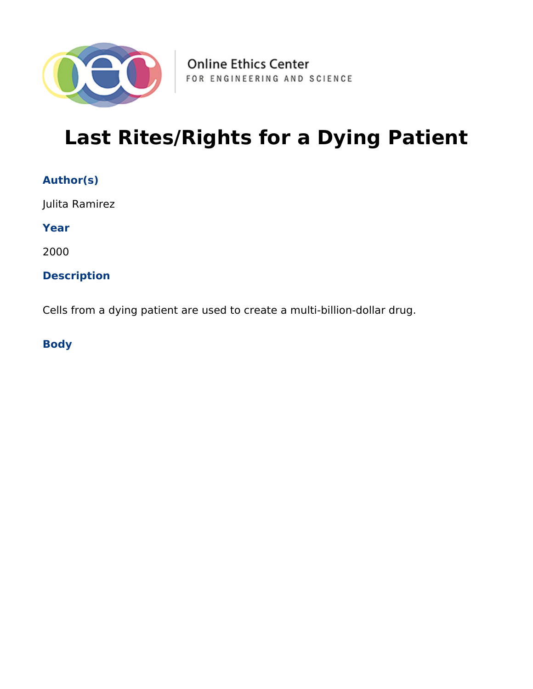

# **Last Rites/Rights for a Dying Patient**

| <b>Author(s)</b> |
|------------------|
|------------------|

Julita Ramirez

**Year**

2000

#### **Description**

Cells from a dying patient are used to create a multi-billion-dollar drug.

**Body**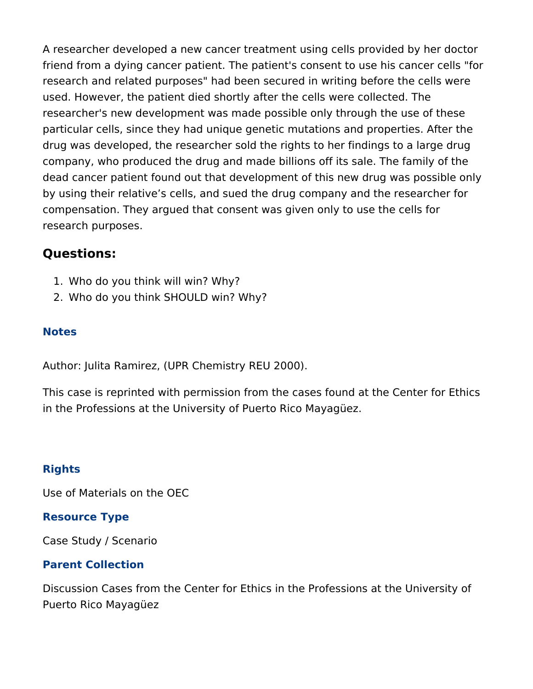A researcher developed a new cancer treatment using cells provided by her doctor friend from a dying cancer patient. The patient's consent to use his cancer cells "for research and related purposes" had been secured in writing before the cells were used. However, the patient died shortly after the cells were collected. The researcher's new development was made possible only through the use of these particular cells, since they had unique genetic mutations and properties. After the drug was developed, the researcher sold the rights to her findings to a large drug company, who produced the drug and made billions off its sale. The family of the dead cancer patient found out that development of this new drug was possible only by using their relative's cells, and sued the drug company and the researcher for compensation. They argued that consent was given only to use the cells for research purposes.

## **Questions:**

- 1. Who do you think will win? Why?
- 2. Who do you think SHOULD win? Why?

#### **Notes**

Author: Julita Ramirez, (UPR Chemistry REU 2000).

This case is reprinted with permission from the cases found at the Center for Ethics in the Professions at the University of Puerto Rico Mayagüez.

## **Rights**

Use of Materials on the OEC

#### **Resource Type**

Case Study / Scenario

#### **Parent Collection**

Discussion Cases from the Center for Ethics in the Professions at the University of Puerto Rico Mayagüez